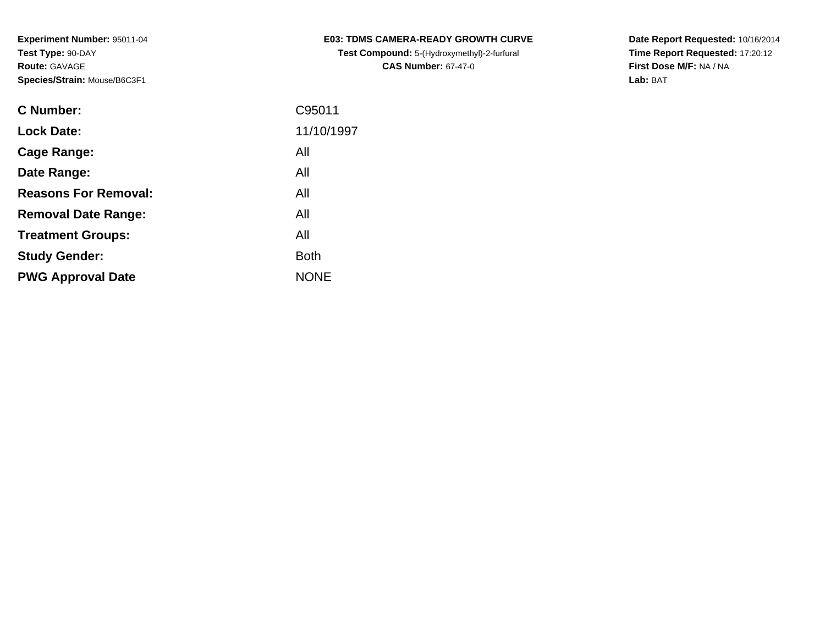| <b>C Number:</b>            | C95011      |
|-----------------------------|-------------|
| <b>Lock Date:</b>           | 11/10/1997  |
| <b>Cage Range:</b>          | All         |
| Date Range:                 | All         |
| <b>Reasons For Removal:</b> | All         |
| <b>Removal Date Range:</b>  | All         |
| <b>Treatment Groups:</b>    | All         |
| <b>Study Gender:</b>        | <b>Both</b> |
| <b>PWG Approval Date</b>    | <b>NONE</b> |
|                             |             |

**E03: TDMS CAMERA-READY GROWTH CURVETest Compound:** 5-(Hydroxymethyl)-2-furfural **CAS Number:** 67-47-0

**Date Report Requested:** 10/16/2014 **Time Report Requested:** 17:20:12**First Dose M/F:** NA / NA**Lab:** BAT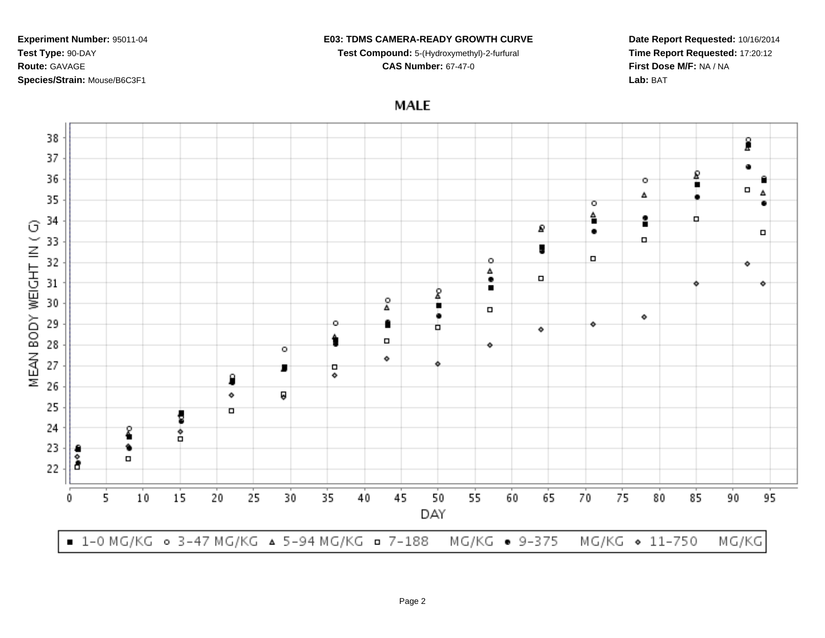### **E03: TDMS CAMERA-READY GROWTH CURVE**

**Test Compound:** 5-(Hydroxymethyl)-2-furfural

**CAS Number:** 67-47-0

**Date Report Requested:** 10/16/2014**Time Report Requested:** 17:20:12**First Dose M/F:** NA / NA**Lab:** BAT

**MALE** 

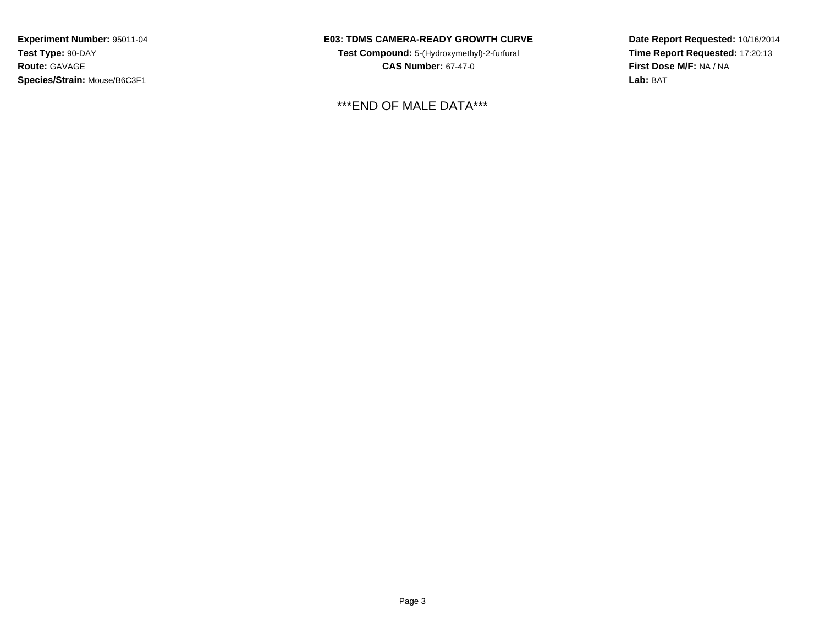## **E03: TDMS CAMERA-READY GROWTH CURVE**

**Test Compound:** 5-(Hydroxymethyl)-2-furfural **CAS Number:** 67-47-0

\*\*\*END OF MALE DATA\*\*\*

**Date Report Requested:** 10/16/2014**Time Report Requested:** 17:20:13**First Dose M/F:** NA / NA**Lab:** BAT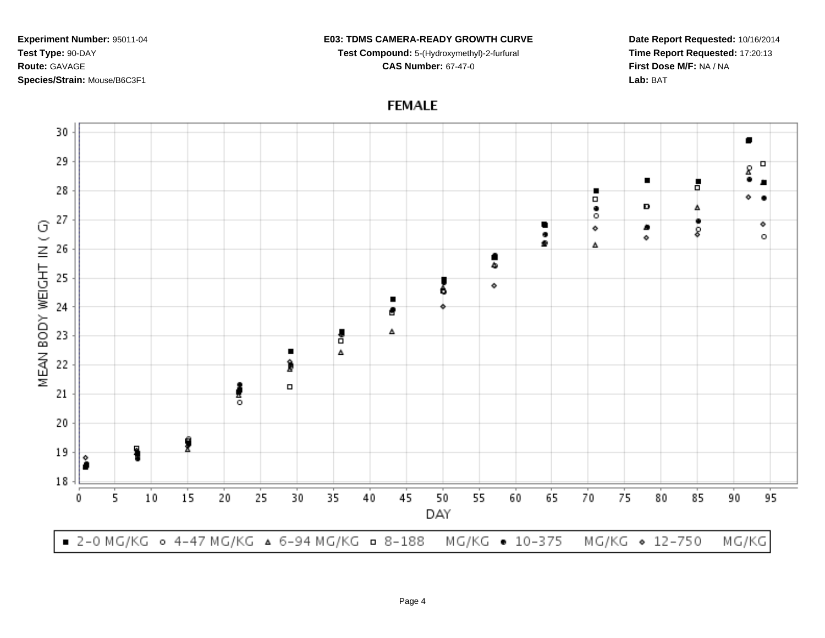#### **E03: TDMS CAMERA-READY GROWTH CURVE**

**Test Compound:** 5-(Hydroxymethyl)-2-furfural **CAS Number:** 67-47-0

**Date Report Requested:** 10/16/2014**Time Report Requested:** 17:20:13**First Dose M/F:** NA / NA**Lab:** BAT

# **FEMALE**